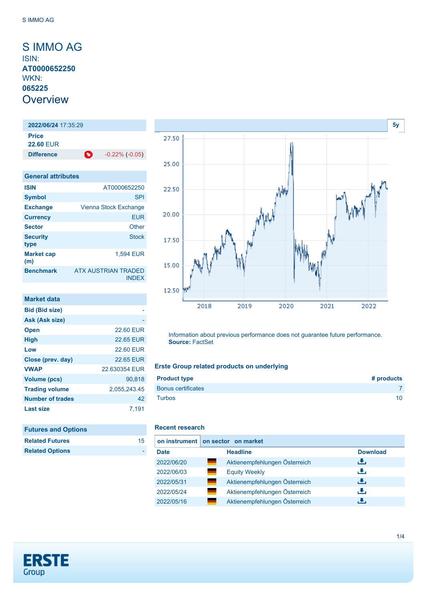# <span id="page-0-0"></span>S IMMO AG ISIN: **AT0000652250** WKN: **065225 Overview**

**2022/06/24** 17:35:29 **Price 22.60** EUR **Difference 1** -0.22% (-0.05)

| <b>General attributes</b> |                                     |
|---------------------------|-------------------------------------|
| <b>ISIN</b>               | AT0000652250                        |
| <b>Symbol</b>             | <b>SPI</b>                          |
| <b>Exchange</b>           | Vienna Stock Exchange               |
| <b>Currency</b>           | <b>EUR</b>                          |
| <b>Sector</b>             | Other                               |
| <b>Security</b><br>type   | <b>Stock</b>                        |
| <b>Market cap</b><br>(m)  | 1,594 EUR                           |
| <b>Benchmark</b>          | ATX AUSTRIAN TRADED<br><b>INDEX</b> |

| Market data             |                  |
|-------------------------|------------------|
| <b>Bid (Bid size)</b>   |                  |
| Ask (Ask size)          |                  |
| <b>Open</b>             | <b>22.60 EUR</b> |
| <b>High</b>             | 22.65 EUR        |
| Low                     | <b>22.60 EUR</b> |
| Close (prev. day)       | 22.65 FUR        |
| <b>VWAP</b>             | 22 630354 FUR    |
| Volume (pcs)            | 90,818           |
| <b>Trading volume</b>   | 2,055,243.45     |
| <b>Number of trades</b> | 42               |
| <b>Last size</b>        | 7.191            |
|                         |                  |

| <b>Futures and Options</b> |    |
|----------------------------|----|
| <b>Related Futures</b>     | 15 |
| <b>Related Options</b>     |    |



Information about previous performance does not guarantee future performance. **Source:** FactSet

### **Erste Group related products on underlying**

| <b>Product type</b>       | # products |
|---------------------------|------------|
| <b>Bonus certificates</b> |            |
| <b>Turbos</b>             | 10         |

#### **Recent research**

|             | on instrument   on sector on market |                 |
|-------------|-------------------------------------|-----------------|
| <b>Date</b> | <b>Headline</b>                     | <b>Download</b> |
| 2022/06/20  | Aktienempfehlungen Österreich       | æ,              |
| 2022/06/03  | <b>Equity Weekly</b>                | رنان            |
| 2022/05/31  | Aktienempfehlungen Österreich       | æ,              |
| 2022/05/24  | Aktienempfehlungen Österreich       | J.              |
| 2022/05/16  | Aktienempfehlungen Österreich       | æ,              |

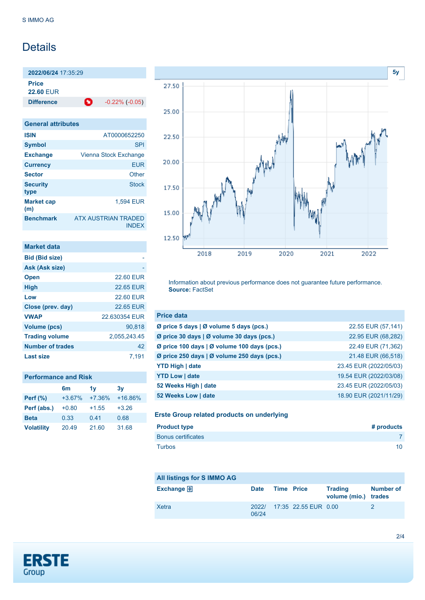# **Details**

**2022/06/24** 17:35:29 **Price 22.60** EUR

**Difference 1** -0.22% (-0.05)

| <b>General attributes</b> |                                            |
|---------------------------|--------------------------------------------|
| <b>ISIN</b>               | AT0000652250                               |
| <b>Symbol</b>             | <b>SPI</b>                                 |
| <b>Exchange</b>           | Vienna Stock Exchange                      |
| <b>Currency</b>           | <b>EUR</b>                                 |
| <b>Sector</b>             | Other                                      |
| <b>Security</b><br>type   | Stock                                      |
| <b>Market cap</b><br>(m)  | <b>1.594 EUR</b>                           |
| <b>Benchmark</b>          | <b>ATX AUSTRIAN TRADED</b><br><b>INDFX</b> |

| <b>Market data</b>      |                  |
|-------------------------|------------------|
| <b>Bid (Bid size)</b>   |                  |
| Ask (Ask size)          |                  |
| <b>Open</b>             | <b>22.60 EUR</b> |
| <b>High</b>             | 22.65 EUR        |
| Low                     | <b>22.60 EUR</b> |
| Close (prev. day)       | <b>22.65 EUR</b> |
| <b>VWAP</b>             | 22.630354 EUR    |
| Volume (pcs)            | 90.818           |
| <b>Trading volume</b>   | 2,055,243.45     |
| <b>Number of trades</b> | 42               |
| <b>Last size</b>        | 7.191            |

### **Performance and Risk**

|                   | 6m       | 1v       | 3y        |
|-------------------|----------|----------|-----------|
| Perf $(\%)$       | $+3.67%$ | $+7.36%$ | $+16.86%$ |
| Perf (abs.)       | $+0.80$  | $+1.55$  | $+3.26$   |
| <b>Beta</b>       | 0.33     | 0.41     | 0.68      |
| <b>Volatility</b> | 20.49    | 21.60    | 31.68     |



Information about previous performance does not guarantee future performance. **Source:** FactSet

| <b>Price data</b>                           |                        |
|---------------------------------------------|------------------------|
| Ø price 5 days   Ø volume 5 days (pcs.)     | 22.55 EUR (57,141)     |
| Ø price 30 days   Ø volume 30 days (pcs.)   | 22.95 EUR (68,282)     |
| Ø price 100 days   Ø volume 100 days (pcs.) | 22.49 EUR (71,362)     |
| Ø price 250 days   Ø volume 250 days (pcs.) | 21.48 EUR (66,518)     |
| <b>YTD High   date</b>                      | 23.45 EUR (2022/05/03) |
| <b>YTD Low   date</b>                       | 19.54 EUR (2022/03/08) |
| 52 Weeks High   date                        | 23.45 EUR (2022/05/03) |
| 52 Weeks Low   date                         | 18.90 EUR (2021/11/29) |

#### **Erste Group related products on underlying**

| <b>Product type</b>       | # products |
|---------------------------|------------|
| <b>Bonus certificates</b> |            |
| Turbos                    | 10         |

| All listings for S IMMO AG |             |                   |                            |                                        |                  |
|----------------------------|-------------|-------------------|----------------------------|----------------------------------------|------------------|
| <b>Exchange</b>            | <b>Date</b> | <b>Time Price</b> |                            | <b>Trading</b><br>volume (mio.) trades | <b>Number of</b> |
| Xetra                      | 06/24       |                   | 2022/ 17:35 22.55 EUR 0.00 |                                        |                  |

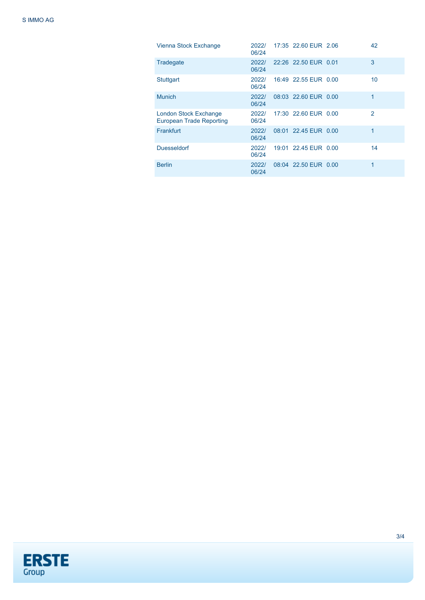| Vienna Stock Exchange                                           | 2022/<br>06/24 | 17:35 22.60 EUR 2.06 | 42            |
|-----------------------------------------------------------------|----------------|----------------------|---------------|
| Tradegate                                                       | 2022/<br>06/24 | 22:26 22.50 EUR 0.01 | 3             |
| Stuttgart                                                       | 2022/<br>06/24 | 16:49 22.55 EUR 0.00 | 10            |
| <b>Munich</b>                                                   | 2022/<br>06/24 | 08:03 22.60 EUR 0.00 | 1             |
| <b>London Stock Exchange</b><br><b>European Trade Reporting</b> | 2022/<br>06/24 | 17:30 22.60 EUR 0.00 | $\mathcal{P}$ |
| Frankfurt                                                       | 2022/<br>06/24 | 08:01 22.45 EUR 0.00 | 1             |
| <b>Duesseldorf</b>                                              | 2022/<br>06/24 | 19:01 22.45 EUR 0.00 | 14            |
| <b>Berlin</b>                                                   | 2022/<br>06/24 | 08:04 22.50 EUR 0.00 | 1             |